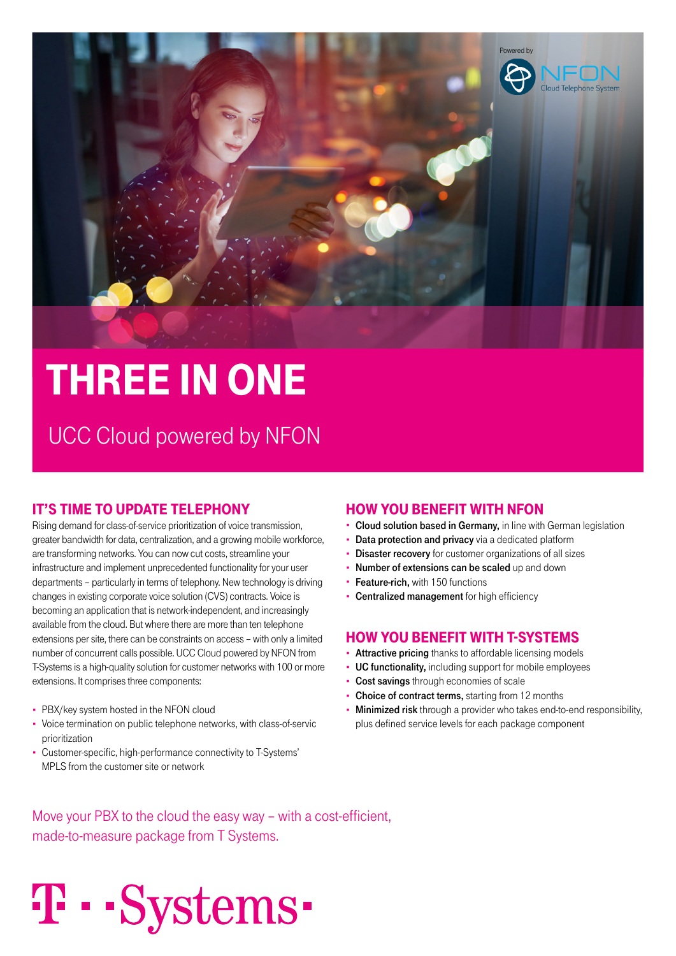

# three iN oNe

UCC Cloud powered by NFON

#### it's time to Update telephoNy

Rising demand for class-of-service prioritization of voice transmission, greater bandwidth for data, centralization, and a growing mobile workforce, are transforming networks. You can now cut costs, streamline your infrastructure and implement unprecedented functionality for your user departments – particularly in terms of telephony. New technology is driving changes in existing corporate voice solution (CVS) contracts. Voice is becoming an application that is network-independent, and increasingly available from the cloud. But where there are more than ten telephone extensions per site, there can be constraints on access – with only a limited number of concurrent calls possible. UCC Cloud powered by NFON from T-Systems is a high-quality solution for customer networks with 100 or more extensions. It comprises three components:

- PBX/key system hosted in the NFON cloud
- Voice termination on public telephone networks, with class-of-servic prioritization
- Customer-specific, high-performance connectivity to T-Systems' MPLS from the customer site or network

T · · Systems ·

#### how yoU beNeFit with NFoN

- Cloud solution based in Germany, in line with German legislation
- **Data protection and privacy** via a dedicated platform
- Disaster recovery for customer organizations of all sizes
- Number of extensions can be scaled up and down
- Feature-rich, with 150 functions
- Centralized management for high efficiency

#### how yoU beNeFit with t-systems

- **Attractive pricing** thanks to affordable licensing models
- UC functionality, including support for mobile employees
- Cost savings through economies of scale
- Choice of contract terms, starting from 12 months
- Minimized risk through a provider who takes end-to-end responsibility, plus defined service levels for each package component

Move your PBX to the cloud the easy way – with a cost-efficient, made-to-measure package from T Systems.